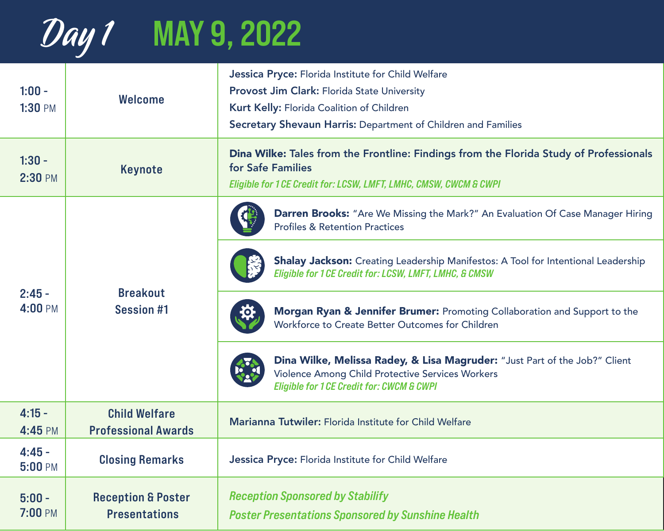

| $1:00 -$<br>1:30 PM | <b>Welcome</b>                                        | Jessica Pryce: Florida Institute for Child Welfare<br><b>Provost Jim Clark: Florida State University</b><br>Kurt Kelly: Florida Coalition of Children<br>Secretary Shevaun Harris: Department of Children and Families |
|---------------------|-------------------------------------------------------|------------------------------------------------------------------------------------------------------------------------------------------------------------------------------------------------------------------------|
| $1:30 -$<br>2:30 PM | Keynote                                               | Dina Wilke: Tales from the Frontline: Findings from the Florida Study of Professionals<br>for Safe Families<br>Eligible for 1 CE Credit for: LCSW, LMFT, LMHC, CMSW, CWCM & CWPI                                       |
| $2:45 -$<br>4:00 PM | <b>Breakout</b><br><b>Session #1</b>                  | <b>Darren Brooks:</b> "Are We Missing the Mark?" An Evaluation Of Case Manager Hiring<br><b>Profiles &amp; Retention Practices</b>                                                                                     |
|                     |                                                       | <b>Shalay Jackson:</b> Creating Leadership Manifestos: A Tool for Intentional Leadership<br>Eligible for 1 CE Credit for: LCSW, LMFT, LMHC, & CMSW                                                                     |
|                     |                                                       | Morgan Ryan & Jennifer Brumer: Promoting Collaboration and Support to the<br>Workforce to Create Better Outcomes for Children                                                                                          |
|                     |                                                       | Dina Wilke, Melissa Radey, & Lisa Magruder: "Just Part of the Job?" Client<br>Violence Among Child Protective Services Workers<br><b>Eligible for 1 CE Credit for: CWCM &amp; CWPI</b>                                 |
| $4:15 -$<br>4:45 PM | <b>Child Welfare</b><br><b>Professional Awards</b>    | Marianna Tutwiler: Florida Institute for Child Welfare                                                                                                                                                                 |
| $4:45 -$<br>5:00 PM | <b>Closing Remarks</b>                                | Jessica Pryce: Florida Institute for Child Welfare                                                                                                                                                                     |
| $5:00 -$<br>7:00 PM | <b>Reception &amp; Poster</b><br><b>Presentations</b> | <b>Reception Sponsored by Stabilify</b><br><b>Poster Presentations Sponsored by Sunshine Health</b>                                                                                                                    |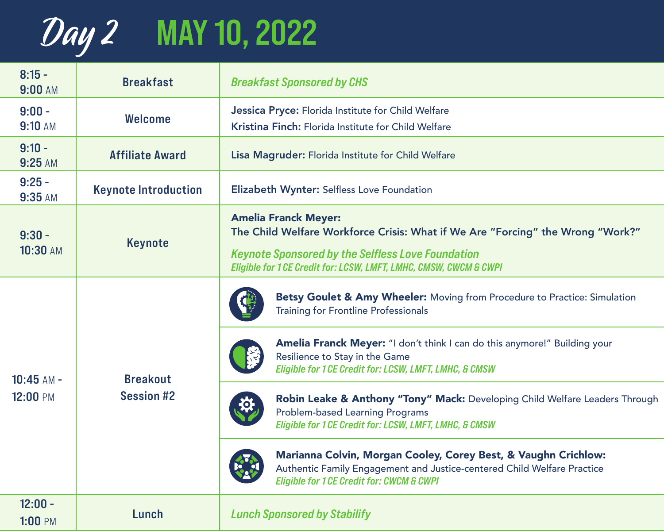## Day 2 MAY 10, 2022

| $8:15 -$<br>9:00 AM      | <b>Breakfast</b>                     | <b>Breakfast Sponsored by CHS</b>                                                                                                                                                                                                              |
|--------------------------|--------------------------------------|------------------------------------------------------------------------------------------------------------------------------------------------------------------------------------------------------------------------------------------------|
| $9:00 -$<br>9:10 AM      | <b>Welcome</b>                       | Jessica Pryce: Florida Institute for Child Welfare<br>Kristina Finch: Florida Institute for Child Welfare                                                                                                                                      |
| $9:10 -$<br>9:25 AM      | <b>Affiliate Award</b>               | Lisa Magruder: Florida Institute for Child Welfare                                                                                                                                                                                             |
| $9:25 -$<br>9:35 AM      | <b>Keynote Introduction</b>          | Elizabeth Wynter: Selfless Love Foundation                                                                                                                                                                                                     |
| $9:30 -$<br>10:30 AM     | Keynote                              | <b>Amelia Franck Meyer:</b><br>The Child Welfare Workforce Crisis: What if We Are "Forcing" the Wrong "Work?"<br><b>Keynote Sponsored by the Selfless Love Foundation</b><br>Eligible for 1 CE Credit for: LCSW, LMFT, LMHC, CMSW, CWCM & CWPI |
| $10:45$ AM -<br>12:00 PM | <b>Breakout</b><br><b>Session #2</b> | Betsy Goulet & Amy Wheeler: Moving from Procedure to Practice: Simulation<br><b>Training for Frontline Professionals</b>                                                                                                                       |
|                          |                                      | Amelia Franck Meyer: "I don't think I can do this anymore!" Building your<br>Resilience to Stay in the Game<br>Eligible for 1 CE Credit for: LCSW, LMFT, LMHC, & CMSW                                                                          |
|                          |                                      | Robin Leake & Anthony "Tony" Mack: Developing Child Welfare Leaders Through<br><b>Problem-based Learning Programs</b><br>Eligible for 1 CE Credit for: LCSW, LMFT, LMHC, & CMSW                                                                |
|                          |                                      | Marianna Colvin, Morgan Cooley, Corey Best, & Vaughn Crichlow:<br>Authentic Family Engagement and Justice-centered Child Welfare Practice<br><b>Eligible for 1 CE Credit for: CWCM &amp; CWPI</b>                                              |
| $12:00 -$<br>1:00 PM     | Lunch                                | <b>Lunch Sponsored by Stabilify</b>                                                                                                                                                                                                            |